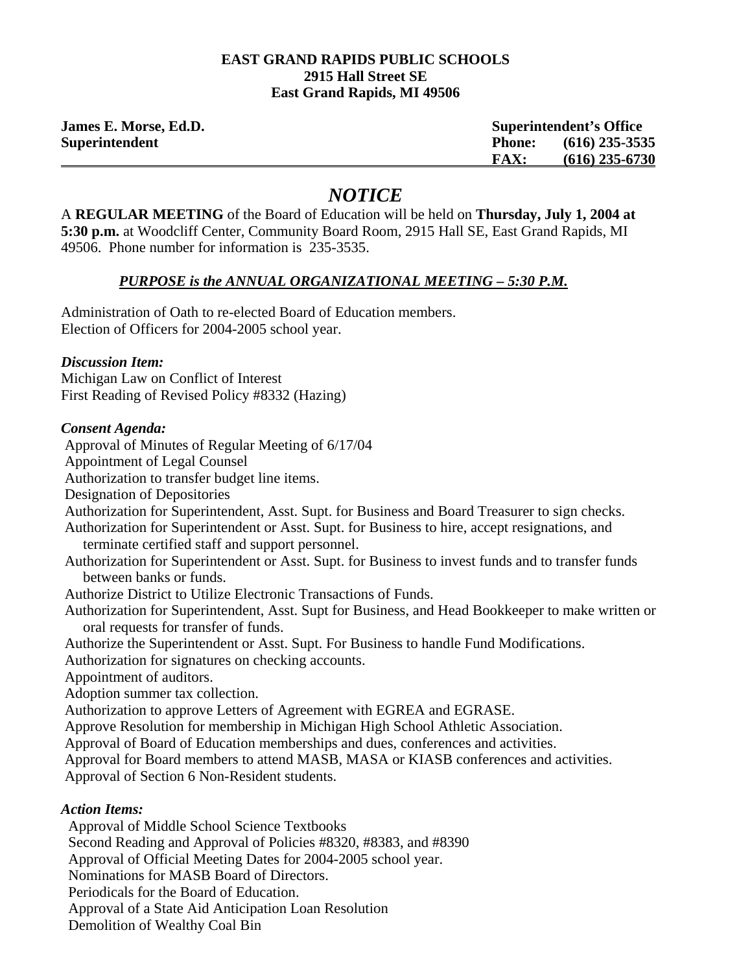#### **EAST GRAND RAPIDS PUBLIC SCHOOLS 2915 Hall Street SE East Grand Rapids, MI 49506**

| James E. Morse, Ed.D. | <b>Superintendent's Office</b> |                  |
|-----------------------|--------------------------------|------------------|
| <b>Superintendent</b> | Phone:                         | $(616)$ 235-3535 |
|                       | <b>FAX:</b>                    | $(616)$ 235-6730 |

# *NOTICE*

A **REGULAR MEETING** of the Board of Education will be held on **Thursday, July 1, 2004 at 5:30 p.m.** at Woodcliff Center, Community Board Room, 2915 Hall SE, East Grand Rapids, MI 49506. Phone number for information is 235-3535.

# *PURPOSE is the ANNUAL ORGANIZATIONAL MEETING – 5:30 P.M.*

Administration of Oath to re-elected Board of Education members. Election of Officers for 2004-2005 school year.

#### *Discussion Item:*

Michigan Law on Conflict of Interest First Reading of Revised Policy #8332 (Hazing)

## *Consent Agenda:*

Approval of Minutes of Regular Meeting of 6/17/04

Appointment of Legal Counsel

Authorization to transfer budget line items.

Designation of Depositories

Authorization for Superintendent, Asst. Supt. for Business and Board Treasurer to sign checks.

 Authorization for Superintendent or Asst. Supt. for Business to hire, accept resignations, and terminate certified staff and support personnel.

 Authorization for Superintendent or Asst. Supt. for Business to invest funds and to transfer funds between banks or funds.

Authorize District to Utilize Electronic Transactions of Funds.

 Authorization for Superintendent, Asst. Supt for Business, and Head Bookkeeper to make written or oral requests for transfer of funds.

Authorize the Superintendent or Asst. Supt. For Business to handle Fund Modifications.

Authorization for signatures on checking accounts.

Appointment of auditors.

Adoption summer tax collection.

Authorization to approve Letters of Agreement with EGREA and EGRASE.

Approve Resolution for membership in Michigan High School Athletic Association.

Approval of Board of Education memberships and dues, conferences and activities.

Approval for Board members to attend MASB, MASA or KIASB conferences and activities.

Approval of Section 6 Non-Resident students.

# *Action Items:*

 Approval of Middle School Science Textbooks Second Reading and Approval of Policies #8320, #8383, and #8390 Approval of Official Meeting Dates for 2004-2005 school year. Nominations for MASB Board of Directors. Periodicals for the Board of Education. Approval of a State Aid Anticipation Loan Resolution Demolition of Wealthy Coal Bin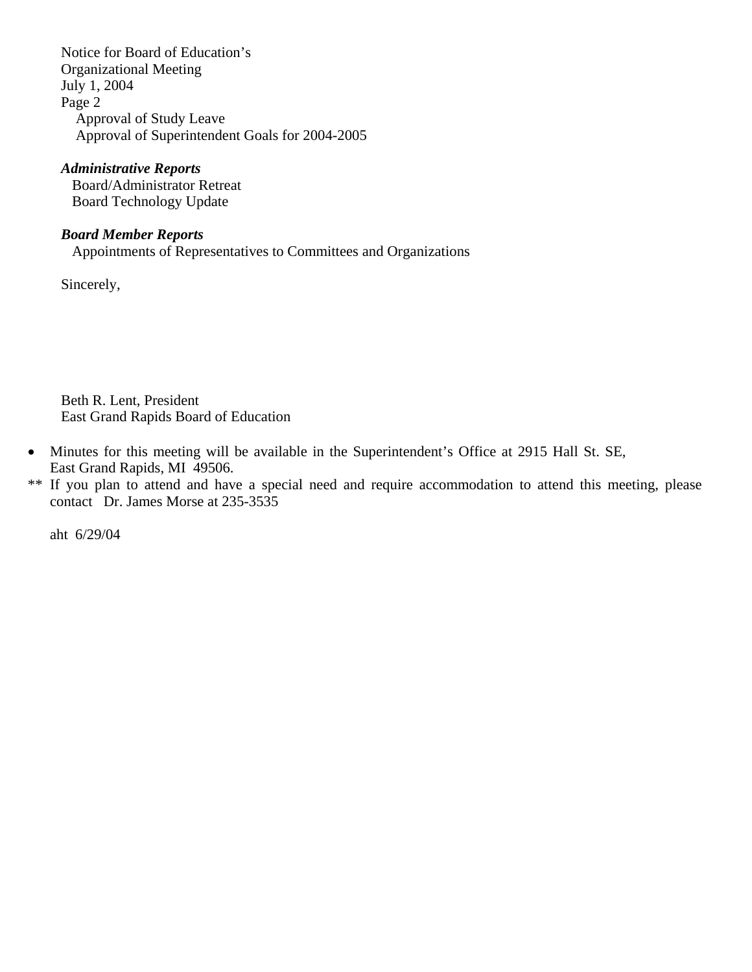Notice for Board of Education's Organizational Meeting July 1, 2004 Page 2 Approval of Study Leave Approval of Superintendent Goals for 2004-2005

### *Administrative Reports*

 Board/Administrator Retreat Board Technology Update

#### *Board Member Reports*

Appointments of Representatives to Committees and Organizations

Sincerely,

Beth R. Lent, President East Grand Rapids Board of Education

- Minutes for this meeting will be available in the Superintendent's Office at 2915 Hall St. SE, East Grand Rapids, MI 49506.
- \*\* If you plan to attend and have a special need and require accommodation to attend this meeting, please contact Dr. James Morse at 235-3535

aht 6/29/04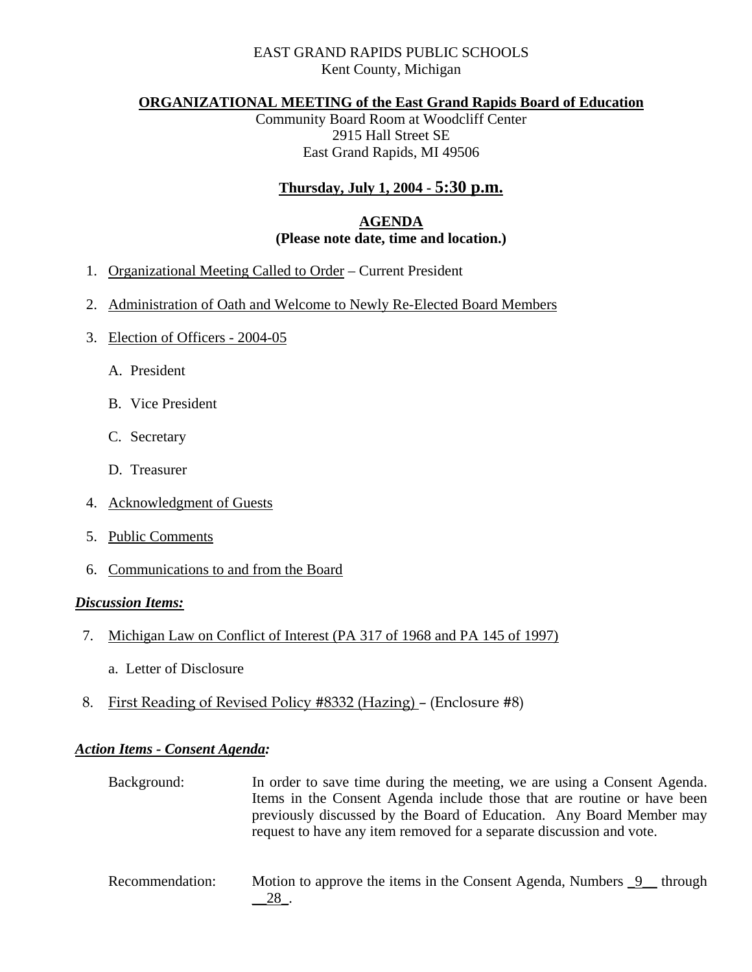## EAST GRAND RAPIDS PUBLIC SCHOOLS Kent County, Michigan

#### **ORGANIZATIONAL MEETING of the East Grand Rapids Board of Education**

Community Board Room at Woodcliff Center 2915 Hall Street SE East Grand Rapids, MI 49506

# **Thursday, July 1, 2004 - 5:30 p.m.**

## **AGENDA (Please note date, time and location.)**

- 1. Organizational Meeting Called to Order Current President
- 2. Administration of Oath and Welcome to Newly Re-Elected Board Members
- 3. Election of Officers 2004-05
	- A. President
	- B. Vice President
	- C. Secretary
	- D. Treasurer
- 4. Acknowledgment of Guests
- 5. Public Comments
- 6. Communications to and from the Board

#### *Discussion Items:*

- 7. Michigan Law on Conflict of Interest (PA 317 of 1968 and PA 145 of 1997)
	- a. Letter of Disclosure
- 8. First Reading of Revised Policy #8332 (Hazing) (Enclosure #8)

#### *Action Items - Consent Agenda:*

 Background: In order to save time during the meeting, we are using a Consent Agenda. Items in the Consent Agenda include those that are routine or have been previously discussed by the Board of Education. Any Board Member may request to have any item removed for a separate discussion and vote.

Recommendation: Motion to approve the items in the Consent Agenda, Numbers 9 through \_\_28\_.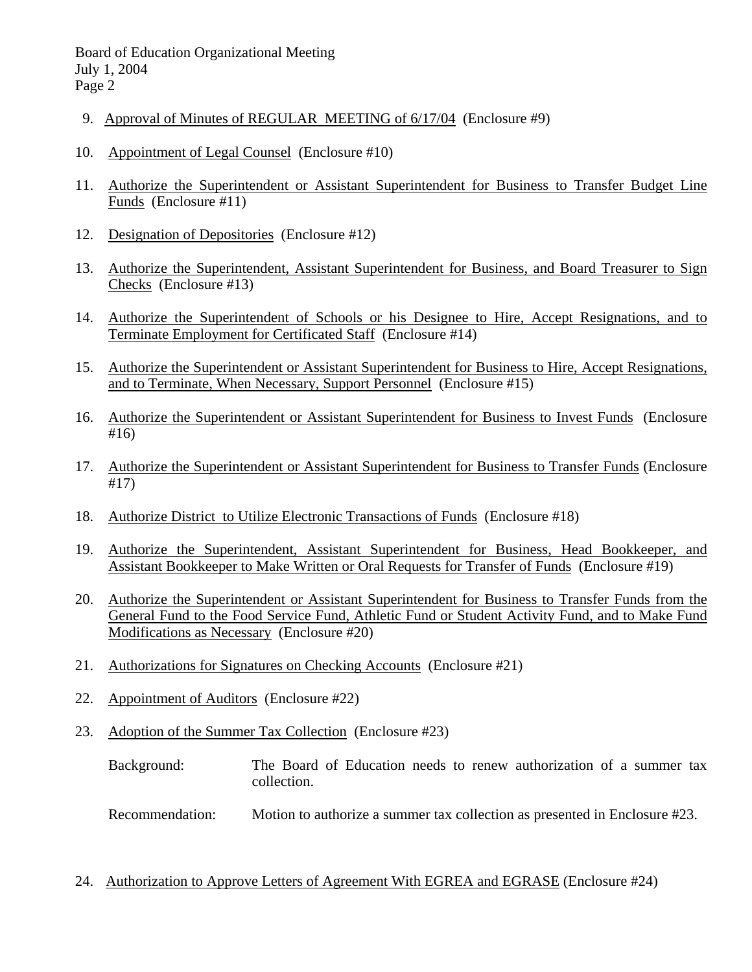- 9. Approval of Minutes of REGULAR MEETING of 6/17/04 (Enclosure #9)
- 10. Appointment of Legal Counsel (Enclosure #10)
- 11. Authorize the Superintendent or Assistant Superintendent for Business to Transfer Budget Line Funds (Enclosure #11)
- 12. Designation of Depositories (Enclosure #12)
- 13. Authorize the Superintendent, Assistant Superintendent for Business, and Board Treasurer to Sign Checks (Enclosure #13)
- 14. Authorize the Superintendent of Schools or his Designee to Hire, Accept Resignations, and to Terminate Employment for Certificated Staff (Enclosure #14)
- 15. Authorize the Superintendent or Assistant Superintendent for Business to Hire, Accept Resignations, and to Terminate, When Necessary, Support Personnel (Enclosure #15)
- 16. Authorize the Superintendent or Assistant Superintendent for Business to Invest Funds (Enclosure #16)
- 17. Authorize the Superintendent or Assistant Superintendent for Business to Transfer Funds (Enclosure #17)
- 18. Authorize District to Utilize Electronic Transactions of Funds (Enclosure #18)
- 19. Authorize the Superintendent, Assistant Superintendent for Business, Head Bookkeeper, and Assistant Bookkeeper to Make Written or Oral Requests for Transfer of Funds (Enclosure #19)
- 20. Authorize the Superintendent or Assistant Superintendent for Business to Transfer Funds from the General Fund to the Food Service Fund, Athletic Fund or Student Activity Fund, and to Make Fund Modifications as Necessary (Enclosure #20)
- 21. Authorizations for Signatures on Checking Accounts (Enclosure #21)
- 22. Appointment of Auditors (Enclosure #22)
- 23. Adoption of the Summer Tax Collection (Enclosure #23)
	- Background: The Board of Education needs to renew authorization of a summer tax collection.
	- Recommendation: Motion to authorize a summer tax collection as presented in Enclosure #23.
- 24. Authorization to Approve Letters of Agreement With EGREA and EGRASE (Enclosure #24)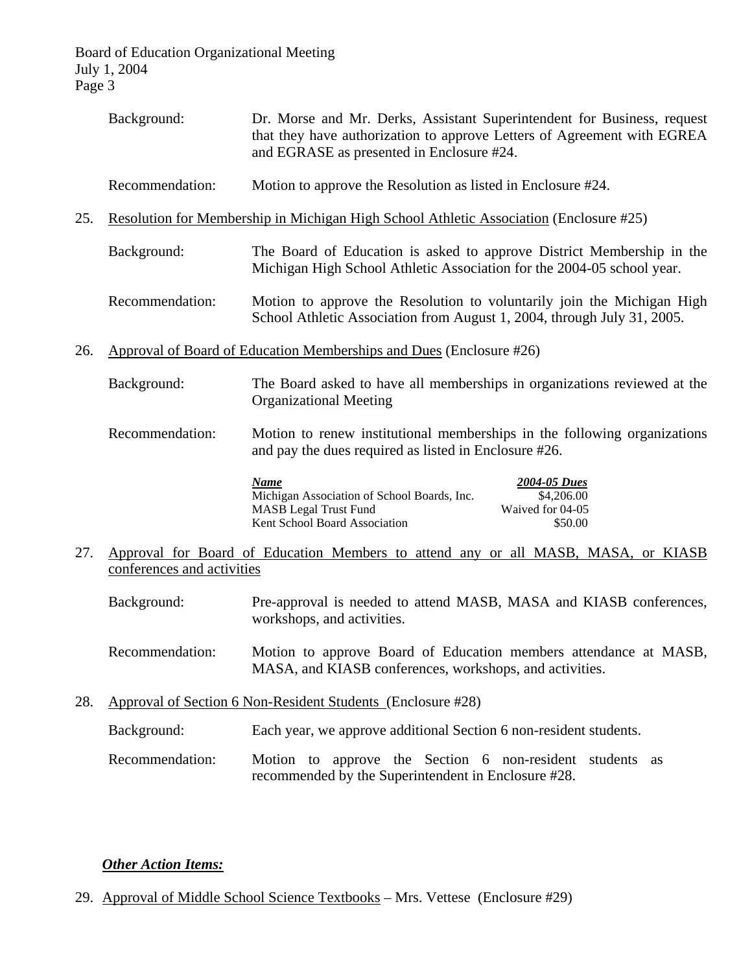- Background: Dr. Morse and Mr. Derks, Assistant Superintendent for Business, request that they have authorization to approve Letters of Agreement with EGREA and EGRASE as presented in Enclosure #24.
- Recommendation: Motion to approve the Resolution as listed in Enclosure #24.
- 25. Resolution for Membership in Michigan High School Athletic Association (Enclosure #25)
	- Background: The Board of Education is asked to approve District Membership in the Michigan High School Athletic Association for the 2004-05 school year.
	- Recommendation: Motion to approve the Resolution to voluntarily join the Michigan High School Athletic Association from August 1, 2004, through July 31, 2005.
- 26. Approval of Board of Education Memberships and Dues (Enclosure #26)
	- Background: The Board asked to have all memberships in organizations reviewed at the Organizational Meeting
	- Recommendation: Motion to renew institutional memberships in the following organizations and pay the dues required as listed in Enclosure #26.

| Name                                        | <b>2004-05 Dues</b> |
|---------------------------------------------|---------------------|
| Michigan Association of School Boards, Inc. | \$4,206.00          |
| <b>MASB</b> Legal Trust Fund                | Waived for 04-05    |
| <b>Kent School Board Association</b>        | \$50.00             |

- 27. Approval for Board of Education Members to attend any or all MASB, MASA, or KIASB conferences and activities
	- Background: Pre-approval is needed to attend MASB, MASA and KIASB conferences, workshops, and activities.
	- Recommendation: Motion to approve Board of Education members attendance at MASB, MASA, and KIASB conferences, workshops, and activities.
- 28. Approval of Section 6 Non-Resident Students (Enclosure #28)
	- Background: Each year, we approve additional Section 6 non-resident students.
	- Recommendation: Motion to approve the Section 6 non-resident students as recommended by the Superintendent in Enclosure #28.

#### *Other Action Items:*

29. Approval of Middle School Science Textbooks – Mrs. Vettese (Enclosure #29)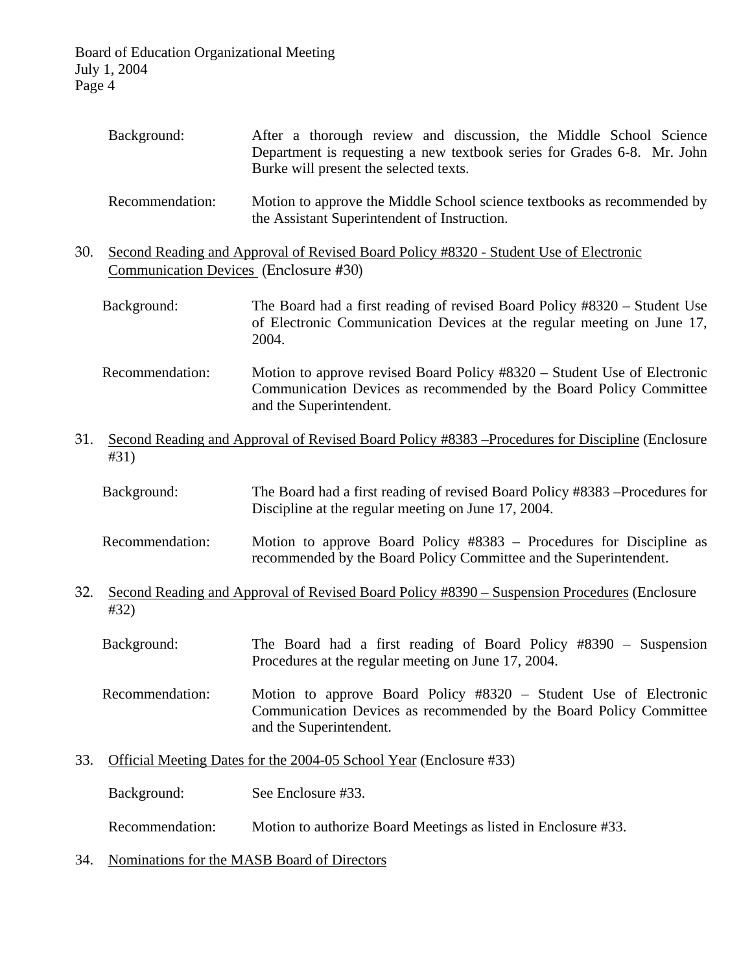|     | Background:                                                                                                                    | After a thorough review and discussion, the Middle School Science<br>Department is requesting a new textbook series for Grades 6-8. Mr. John<br>Burke will present the selected texts. |  |
|-----|--------------------------------------------------------------------------------------------------------------------------------|----------------------------------------------------------------------------------------------------------------------------------------------------------------------------------------|--|
|     | Recommendation:                                                                                                                | Motion to approve the Middle School science textbooks as recommended by<br>the Assistant Superintendent of Instruction.                                                                |  |
| 30. | Second Reading and Approval of Revised Board Policy #8320 - Student Use of Electronic<br>Communication Devices (Enclosure #30) |                                                                                                                                                                                        |  |
|     | Background:                                                                                                                    | The Board had a first reading of revised Board Policy #8320 – Student Use<br>of Electronic Communication Devices at the regular meeting on June 17,<br>2004.                           |  |
|     | Recommendation:                                                                                                                | Motion to approve revised Board Policy #8320 – Student Use of Electronic<br>Communication Devices as recommended by the Board Policy Committee<br>and the Superintendent.              |  |
| 31. | Second Reading and Approval of Revised Board Policy #8383 – Procedures for Discipline (Enclosure<br>#31)                       |                                                                                                                                                                                        |  |
|     | Background:                                                                                                                    | The Board had a first reading of revised Board Policy #8383 – Procedures for<br>Discipline at the regular meeting on June 17, 2004.                                                    |  |
|     | Recommendation:                                                                                                                | Motion to approve Board Policy #8383 – Procedures for Discipline as<br>recommended by the Board Policy Committee and the Superintendent.                                               |  |
| 32. | #32)                                                                                                                           | Second Reading and Approval of Revised Board Policy #8390 – Suspension Procedures (Enclosure                                                                                           |  |
|     | Background:                                                                                                                    | The Board had a first reading of Board Policy $#8390 -$ Suspension<br>Procedures at the regular meeting on June 17, 2004.                                                              |  |
|     | Recommendation:                                                                                                                | Motion to approve Board Policy #8320 – Student Use of Electronic<br>Communication Devices as recommended by the Board Policy Committee<br>and the Superintendent.                      |  |
| 33. | Official Meeting Dates for the 2004-05 School Year (Enclosure #33)                                                             |                                                                                                                                                                                        |  |
|     | Background:                                                                                                                    | See Enclosure #33.                                                                                                                                                                     |  |

Recommendation: Motion to authorize Board Meetings as listed in Enclosure #33.

34. Nominations for the MASB Board of Directors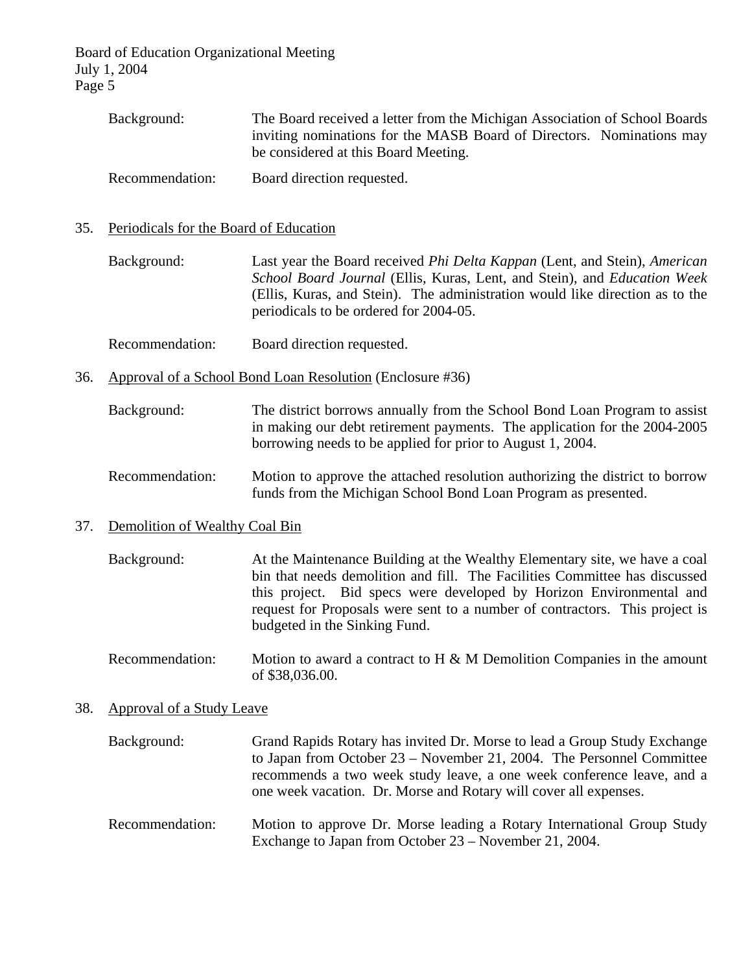| Background:     | The Board received a letter from the Michigan Association of School Boards |
|-----------------|----------------------------------------------------------------------------|
|                 | inviting nominations for the MASB Board of Directors. Nominations may      |
|                 | be considered at this Board Meeting.                                       |
| Recommendation: | Board direction requested.                                                 |

35. Periodicals for the Board of Education

 Background: Last year the Board received *Phi Delta Kappan* (Lent, and Stein), *American School Board Journal* (Ellis, Kuras, Lent, and Stein), and *Education Week*  (Ellis, Kuras, and Stein). The administration would like direction as to the periodicals to be ordered for 2004-05.

- Recommendation: Board direction requested.
- 36. Approval of a School Bond Loan Resolution (Enclosure #36)
	- Background: The district borrows annually from the School Bond Loan Program to assist in making our debt retirement payments. The application for the 2004-2005 borrowing needs to be applied for prior to August 1, 2004.
	- Recommendation: Motion to approve the attached resolution authorizing the district to borrow funds from the Michigan School Bond Loan Program as presented.

#### 37. Demolition of Wealthy Coal Bin

- Background: At the Maintenance Building at the Wealthy Elementary site, we have a coal bin that needs demolition and fill. The Facilities Committee has discussed this project. Bid specs were developed by Horizon Environmental and request for Proposals were sent to a number of contractors. This project is budgeted in the Sinking Fund.
- Recommendation: Motion to award a contract to H & M Demolition Companies in the amount of \$38,036.00.

#### 38. Approval of a Study Leave

- Background: Grand Rapids Rotary has invited Dr. Morse to lead a Group Study Exchange to Japan from October 23 – November 21, 2004. The Personnel Committee recommends a two week study leave, a one week conference leave, and a one week vacation. Dr. Morse and Rotary will cover all expenses.
- Recommendation: Motion to approve Dr. Morse leading a Rotary International Group Study Exchange to Japan from October 23 – November 21, 2004.